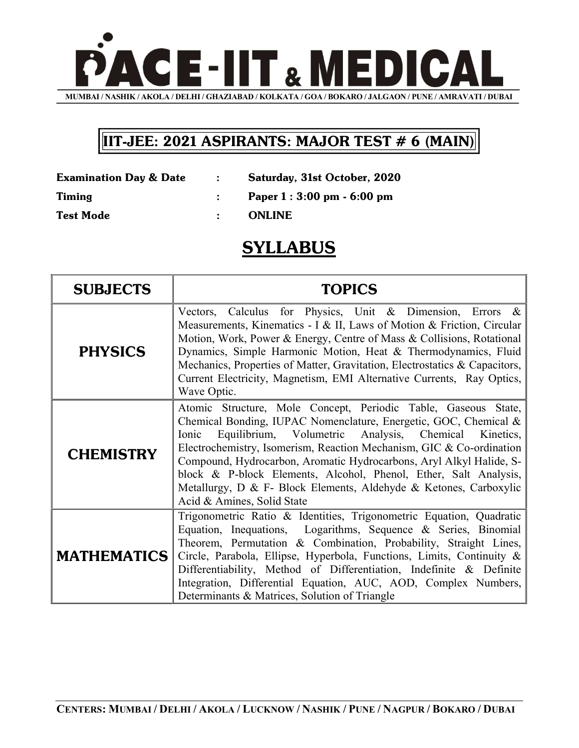

## IIT-JEE: 2021 ASPIRANTS: MAJOR TEST # 6 (MAIN)

| <b>Examination Day &amp; Date</b> | Saturday, 31st October, 2020 |
|-----------------------------------|------------------------------|
| <b>Timing</b>                     | Paper 1 : 3:00 pm - 6:00 pm  |

Test Mode  $\qquad \qquad : \qquad \text{ONLINE}$ 

## **SYLLABUS**

| <b>SUBJECTS</b>    | <b>TOPICS</b>                                                                                                                                                                                                                                                                                                                                                                                                                                                                                                             |
|--------------------|---------------------------------------------------------------------------------------------------------------------------------------------------------------------------------------------------------------------------------------------------------------------------------------------------------------------------------------------------------------------------------------------------------------------------------------------------------------------------------------------------------------------------|
| <b>PHYSICS</b>     | Vectors, Calculus for Physics, Unit & Dimension, Errors &<br>Measurements, Kinematics - I & II, Laws of Motion & Friction, Circular<br>Motion, Work, Power & Energy, Centre of Mass & Collisions, Rotational<br>Dynamics, Simple Harmonic Motion, Heat & Thermodynamics, Fluid<br>Mechanics, Properties of Matter, Gravitation, Electrostatics & Capacitors,<br>Current Electricity, Magnetism, EMI Alternative Currents, Ray Optics,<br>Wave Optic.                                                                      |
| <b>CHEMISTRY</b>   | Atomic Structure, Mole Concept, Periodic Table, Gaseous State,<br>Chemical Bonding, IUPAC Nomenclature, Energetic, GOC, Chemical &<br>Equilibrium, Volumetric Analysis, Chemical Kinetics,<br>Ionic<br>Electrochemistry, Isomerism, Reaction Mechanism, GIC & Co-ordination<br>Compound, Hydrocarbon, Aromatic Hydrocarbons, Aryl Alkyl Halide, S-<br>block & P-block Elements, Alcohol, Phenol, Ether, Salt Analysis,<br>Metallurgy, D & F- Block Elements, Aldehyde & Ketones, Carboxylic<br>Acid & Amines, Solid State |
| <b>MATHEMATICS</b> | Trigonometric Ratio & Identities, Trigonometric Equation, Quadratic<br>Equation, Inequations, Logarithms, Sequence & Series, Binomial<br>Theorem, Permutation & Combination, Probability, Straight Lines,<br>Circle, Parabola, Ellipse, Hyperbola, Functions, Limits, Continuity &<br>Differentiability, Method of Differentiation, Indefinite & Definite<br>Integration, Differential Equation, AUC, AOD, Complex Numbers,<br>Determinants & Matrices, Solution of Triangle                                              |